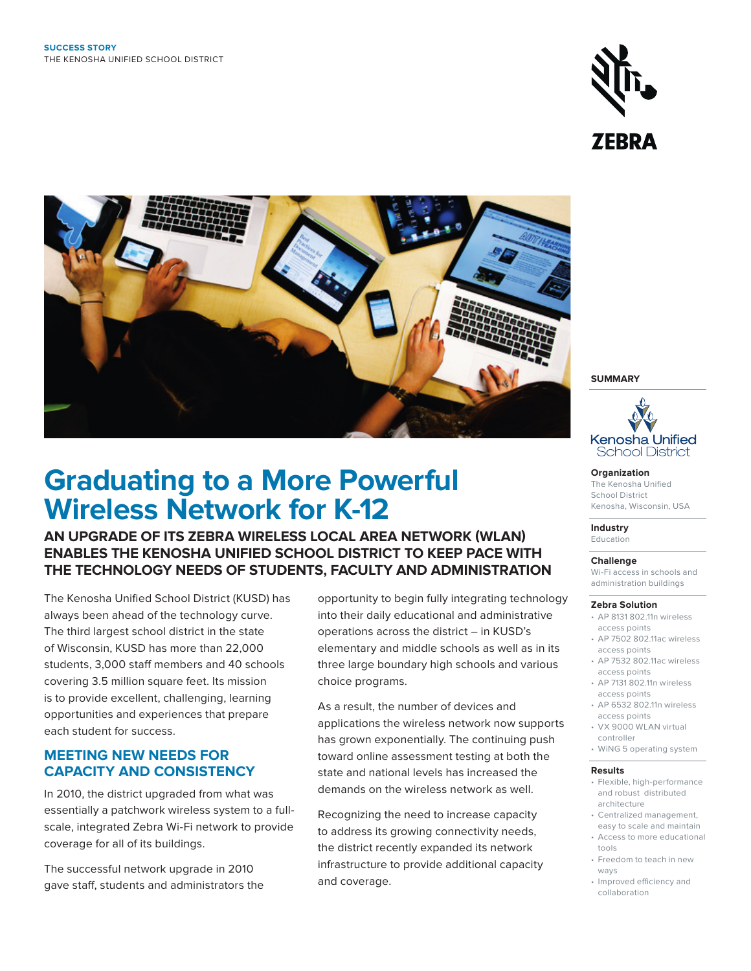



# **Graduating to a More Powerful Wireless Network for K-12**

**AN UPGRADE OF ITS ZEBRA WIRELESS LOCAL AREA NETWORK (WLAN) ENABLES THE KENOSHA UNIFIED SCHOOL DISTRICT TO KEEP PACE WITH THE TECHNOLOGY NEEDS OF STUDENTS, FACULTY AND ADMINISTRATION**

The Kenosha Unified School District (KUSD) has always been ahead of the technology curve. The third largest school district in the state of Wisconsin, KUSD has more than 22,000 students, 3,000 staff members and 40 schools covering 3.5 million square feet. Its mission is to provide excellent, challenging, learning opportunities and experiences that prepare each student for success.

#### **MEETING NEW NEEDS FOR CAPACITY AND CONSISTENCY**

In 2010, the district upgraded from what was essentially a patchwork wireless system to a fullscale, integrated Zebra Wi-Fi network to provide coverage for all of its buildings.

The successful network upgrade in 2010 gave staff, students and administrators the opportunity to begin fully integrating technology into their daily educational and administrative operations across the district – in KUSD's elementary and middle schools as well as in its three large boundary high schools and various choice programs.

As a result, the number of devices and applications the wireless network now supports has grown exponentially. The continuing push toward online assessment testing at both the state and national levels has increased the demands on the wireless network as well.

Recognizing the need to increase capacity to address its growing connectivity needs, the district recently expanded its network infrastructure to provide additional capacity and coverage.

**SUMMARY**



**Organization** The Kenosha Unified School District Kenosha, Wisconsin, USA

**Industry**  Education

**Challenge** 

Wi-Fi access in schools and administration buildings

#### **Zebra Solution**

- AP 8131 802.11n wireless access points
- AP 7502 802.11ac wireless access points
- AP 7532 802.11ac wireless access points
- AP 7131 802.11n wireless access points
- AP 6532 802.11n wireless access points
- VX 9000 WLAN virtual controller
- WiNG 5 operating system

#### **Results**

- Flexible, high-performance and robust distributed architecture
- Centralized management, easy to scale and maintain
- Access to more educational tools
- Freedom to teach in new ways
- Improved efficiency and collaboration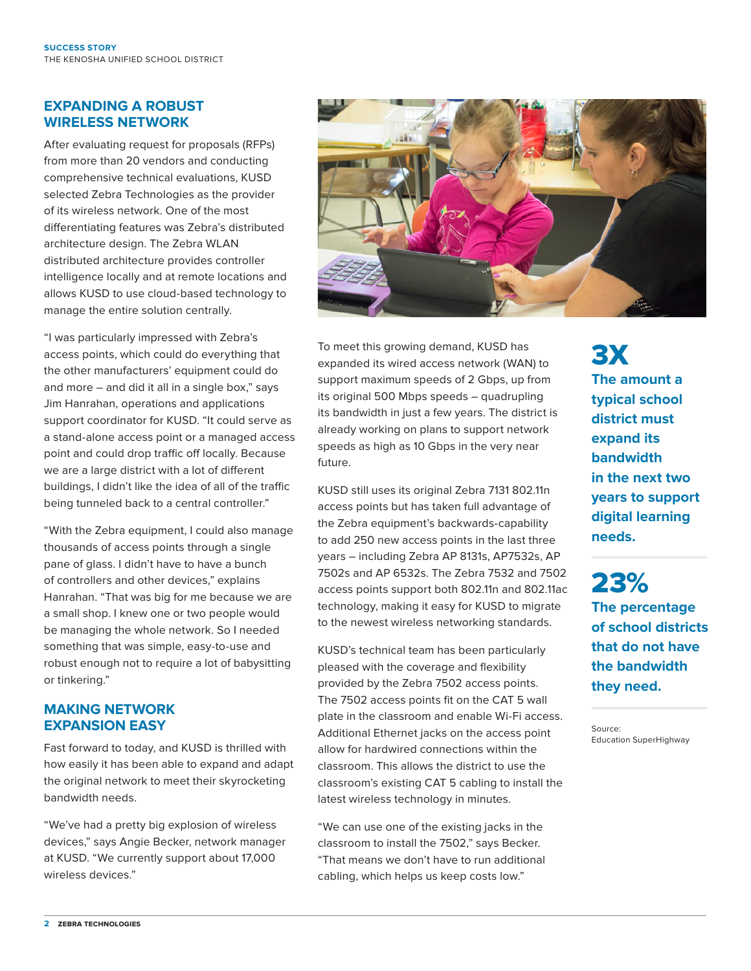#### **EXPANDING A ROBUST WIRELESS NETWORK**

After evaluating request for proposals (RFPs) from more than 20 vendors and conducting comprehensive technical evaluations, KUSD selected Zebra Technologies as the provider of its wireless network. One of the most differentiating features was Zebra's distributed architecture design. The Zebra WLAN distributed architecture provides controller intelligence locally and at remote locations and allows KUSD to use cloud-based technology to manage the entire solution centrally.

"I was particularly impressed with Zebra's access points, which could do everything that the other manufacturers' equipment could do and more – and did it all in a single box," says Jim Hanrahan, operations and applications support coordinator for KUSD. "It could serve as a stand-alone access point or a managed access point and could drop traffic off locally. Because we are a large district with a lot of different buildings, I didn't like the idea of all of the traffic being tunneled back to a central controller."

"With the Zebra equipment, I could also manage thousands of access points through a single pane of glass. I didn't have to have a bunch of controllers and other devices," explains Hanrahan. "That was big for me because we are a small shop. I knew one or two people would be managing the whole network. So I needed something that was simple, easy-to-use and robust enough not to require a lot of babysitting or tinkering."

#### **MAKING NETWORK EXPANSION EASY**

Fast forward to today, and KUSD is thrilled with how easily it has been able to expand and adapt the original network to meet their skyrocketing bandwidth needs.

"We've had a pretty big explosion of wireless devices," says Angie Becker, network manager at KUSD. "We currently support about 17,000 wireless devices."



To meet this growing demand, KUSD has expanded its wired access network (WAN) to support maximum speeds of 2 Gbps, up from its original 500 Mbps speeds – quadrupling its bandwidth in just a few years. The district is already working on plans to support network speeds as high as 10 Gbps in the very near future.

KUSD still uses its original Zebra 7131 802.11n access points but has taken full advantage of the Zebra equipment's backwards-capability to add 250 new access points in the last three years – including Zebra AP 8131s, AP7532s, AP 7502s and AP 6532s. The Zebra 7532 and 7502 access points support both 802.11n and 802.11ac technology, making it easy for KUSD to migrate to the newest wireless networking standards.

KUSD's technical team has been particularly pleased with the coverage and flexibility provided by the Zebra 7502 access points. The 7502 access points fit on the CAT 5 wall plate in the classroom and enable Wi-Fi access. Additional Ethernet jacks on the access point allow for hardwired connections within the classroom. This allows the district to use the classroom's existing CAT 5 cabling to install the latest wireless technology in minutes.

"We can use one of the existing jacks in the classroom to install the 7502," says Becker. "That means we don't have to run additional cabling, which helps us keep costs low."

3X **The amount a typical school district must expand its bandwidth in the next two years to support digital learning needs.** 

23% **The percentage of school districts that do not have the bandwidth they need.**

Source: Education SuperHighway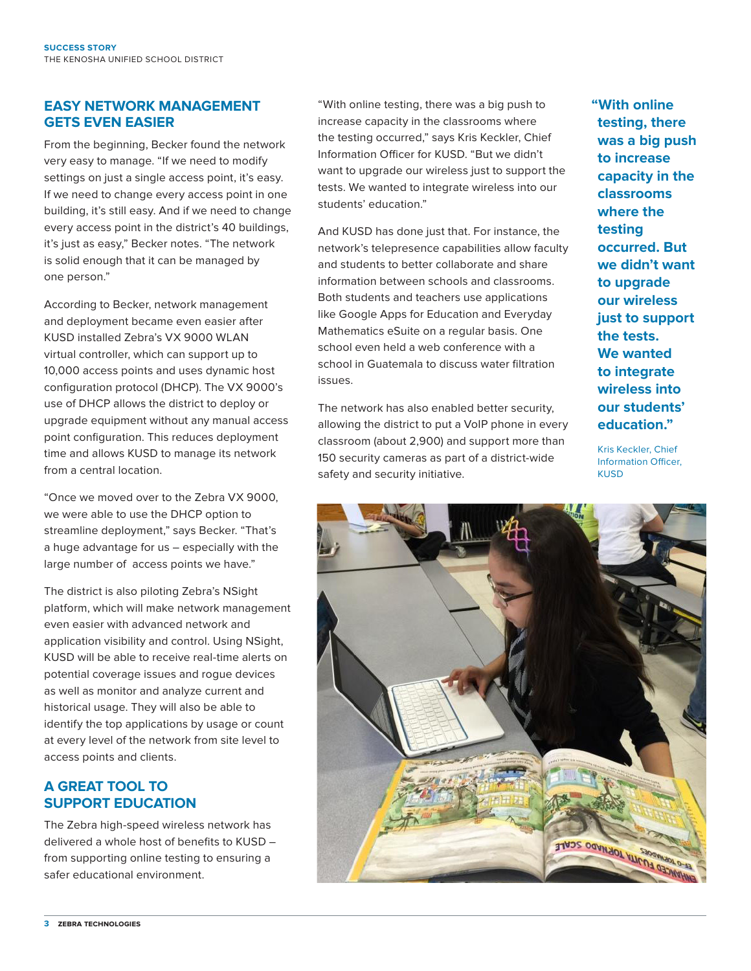#### **EASY NETWORK MANAGEMENT GETS EVEN EASIER**

From the beginning, Becker found the network very easy to manage. "If we need to modify settings on just a single access point, it's easy. If we need to change every access point in one building, it's still easy. And if we need to change every access point in the district's 40 buildings, it's just as easy," Becker notes. "The network is solid enough that it can be managed by one person."

According to Becker, network management and deployment became even easier after KUSD installed Zebra's VX 9000 WLAN virtual controller, which can support up to 10,000 access points and uses dynamic host configuration protocol (DHCP). The VX 9000's use of DHCP allows the district to deploy or upgrade equipment without any manual access point configuration. This reduces deployment time and allows KUSD to manage its network from a central location.

"Once we moved over to the Zebra VX 9000, we were able to use the DHCP option to streamline deployment," says Becker. "That's a huge advantage for us – especially with the large number of access points we have."

The district is also piloting Zebra's NSight platform, which will make network management even easier with advanced network and application visibility and control. Using NSight, KUSD will be able to receive real-time alerts on potential coverage issues and rogue devices as well as monitor and analyze current and historical usage. They will also be able to identify the top applications by usage or count at every level of the network from site level to access points and clients.

#### **A GREAT TOOL TO SUPPORT EDUCATION**

The Zebra high-speed wireless network has delivered a whole host of benefits to KUSD – from supporting online testing to ensuring a safer educational environment.

"With online testing, there was a big push to increase capacity in the classrooms where the testing occurred," says Kris Keckler, Chief Information Officer for KUSD. "But we didn't want to upgrade our wireless just to support the tests. We wanted to integrate wireless into our students' education."

And KUSD has done just that. For instance, the network's telepresence capabilities allow faculty and students to better collaborate and share information between schools and classrooms. Both students and teachers use applications like Google Apps for Education and Everyday Mathematics eSuite on a regular basis. One school even held a web conference with a school in Guatemala to discuss water filtration issues.

The network has also enabled better security, allowing the district to put a VoIP phone in every classroom (about 2,900) and support more than 150 security cameras as part of a district-wide safety and security initiative.

**"With online testing, there was a big push to increase capacity in the classrooms where the testing occurred. But we didn't want to upgrade our wireless just to support the tests. We wanted to integrate wireless into our students' education."**

Kris Keckler, Chief Information Officer, **KUSD**